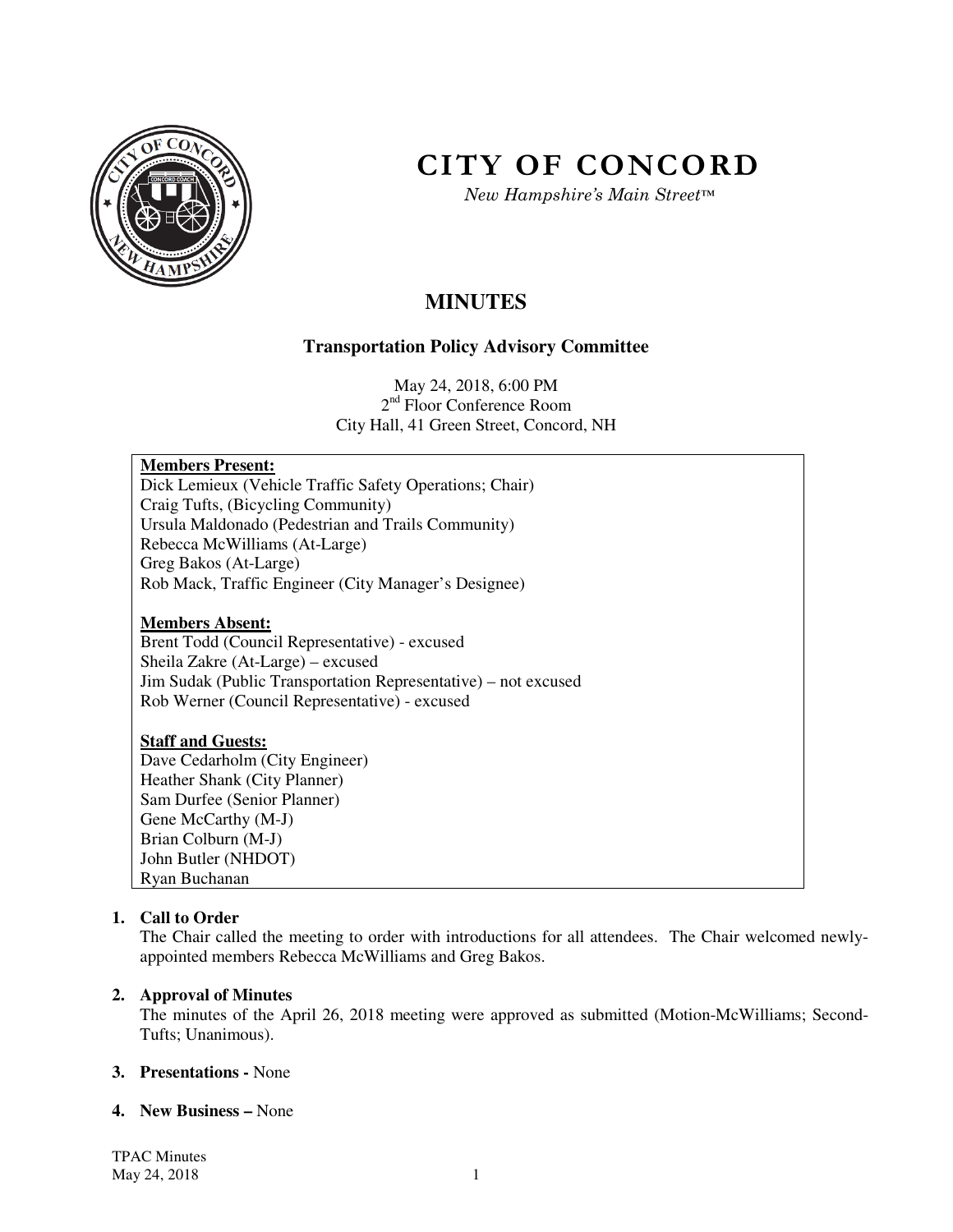

# **CITY OF CONCORD**

*New Hampshire's Main Street™*

# **MINUTES**

# **Transportation Policy Advisory Committee**

May 24, 2018, 6:00 PM 2<sup>nd</sup> Floor Conference Room City Hall, 41 Green Street, Concord, NH

# **Members Present:**

Dick Lemieux (Vehicle Traffic Safety Operations; Chair) Craig Tufts, (Bicycling Community) Ursula Maldonado (Pedestrian and Trails Community) Rebecca McWilliams (At-Large) Greg Bakos (At-Large) Rob Mack, Traffic Engineer (City Manager's Designee)

#### **Members Absent:**

Brent Todd (Council Representative) - excused Sheila Zakre (At-Large) – excused Jim Sudak (Public Transportation Representative) – not excused Rob Werner (Council Representative) - excused

#### **Staff and Guests:**

Dave Cedarholm (City Engineer) Heather Shank (City Planner) Sam Durfee (Senior Planner) Gene McCarthy (M-J) Brian Colburn (M-J) John Butler (NHDOT) Ryan Buchanan

## **1. Call to Order**

The Chair called the meeting to order with introductions for all attendees. The Chair welcomed newlyappointed members Rebecca McWilliams and Greg Bakos.

#### **2. Approval of Minutes**

The minutes of the April 26, 2018 meeting were approved as submitted (Motion-McWilliams; Second-Tufts; Unanimous).

#### **3. Presentations -** None

#### **4. New Business –** None

TPAC Minutes  $\text{May } 24, 2018$  1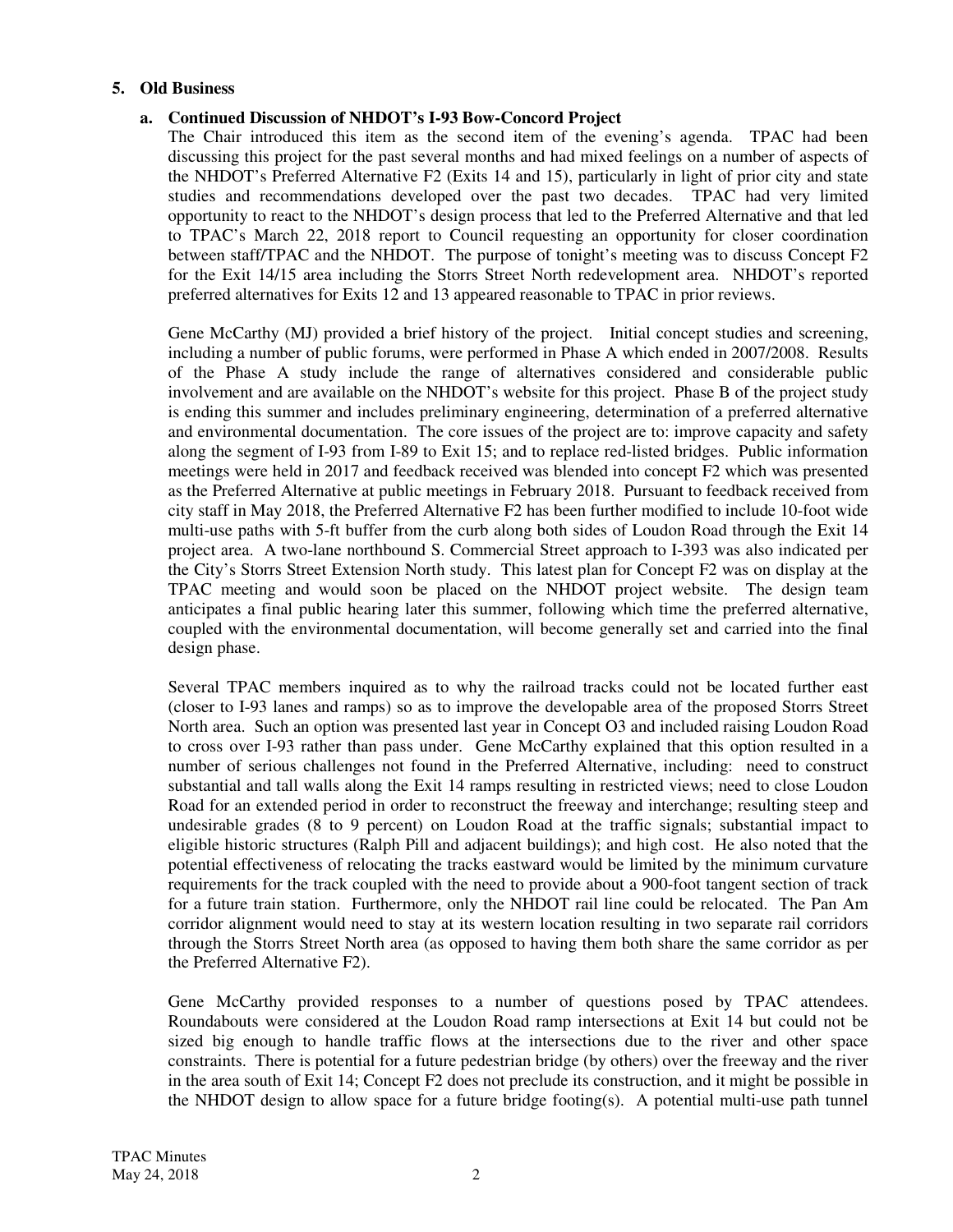### **5. Old Business**

#### **a. Continued Discussion of NHDOT's I-93 Bow-Concord Project**

The Chair introduced this item as the second item of the evening's agenda. TPAC had been discussing this project for the past several months and had mixed feelings on a number of aspects of the NHDOT's Preferred Alternative F2 (Exits 14 and 15), particularly in light of prior city and state studies and recommendations developed over the past two decades. TPAC had very limited opportunity to react to the NHDOT's design process that led to the Preferred Alternative and that led to TPAC's March 22, 2018 report to Council requesting an opportunity for closer coordination between staff/TPAC and the NHDOT. The purpose of tonight's meeting was to discuss Concept F2 for the Exit 14/15 area including the Storrs Street North redevelopment area. NHDOT's reported preferred alternatives for Exits 12 and 13 appeared reasonable to TPAC in prior reviews.

Gene McCarthy (MJ) provided a brief history of the project. Initial concept studies and screening, including a number of public forums, were performed in Phase A which ended in 2007/2008. Results of the Phase A study include the range of alternatives considered and considerable public involvement and are available on the NHDOT's website for this project. Phase B of the project study is ending this summer and includes preliminary engineering, determination of a preferred alternative and environmental documentation. The core issues of the project are to: improve capacity and safety along the segment of I-93 from I-89 to Exit 15; and to replace red-listed bridges. Public information meetings were held in 2017 and feedback received was blended into concept F2 which was presented as the Preferred Alternative at public meetings in February 2018. Pursuant to feedback received from city staff in May 2018, the Preferred Alternative F2 has been further modified to include 10-foot wide multi-use paths with 5-ft buffer from the curb along both sides of Loudon Road through the Exit 14 project area. A two-lane northbound S. Commercial Street approach to I-393 was also indicated per the City's Storrs Street Extension North study. This latest plan for Concept F2 was on display at the TPAC meeting and would soon be placed on the NHDOT project website. The design team anticipates a final public hearing later this summer, following which time the preferred alternative, coupled with the environmental documentation, will become generally set and carried into the final design phase.

Several TPAC members inquired as to why the railroad tracks could not be located further east (closer to I-93 lanes and ramps) so as to improve the developable area of the proposed Storrs Street North area. Such an option was presented last year in Concept O3 and included raising Loudon Road to cross over I-93 rather than pass under. Gene McCarthy explained that this option resulted in a number of serious challenges not found in the Preferred Alternative, including: need to construct substantial and tall walls along the Exit 14 ramps resulting in restricted views; need to close Loudon Road for an extended period in order to reconstruct the freeway and interchange; resulting steep and undesirable grades (8 to 9 percent) on Loudon Road at the traffic signals; substantial impact to eligible historic structures (Ralph Pill and adjacent buildings); and high cost. He also noted that the potential effectiveness of relocating the tracks eastward would be limited by the minimum curvature requirements for the track coupled with the need to provide about a 900-foot tangent section of track for a future train station. Furthermore, only the NHDOT rail line could be relocated. The Pan Am corridor alignment would need to stay at its western location resulting in two separate rail corridors through the Storrs Street North area (as opposed to having them both share the same corridor as per the Preferred Alternative F2).

Gene McCarthy provided responses to a number of questions posed by TPAC attendees. Roundabouts were considered at the Loudon Road ramp intersections at Exit 14 but could not be sized big enough to handle traffic flows at the intersections due to the river and other space constraints. There is potential for a future pedestrian bridge (by others) over the freeway and the river in the area south of Exit 14; Concept F2 does not preclude its construction, and it might be possible in the NHDOT design to allow space for a future bridge footing(s). A potential multi-use path tunnel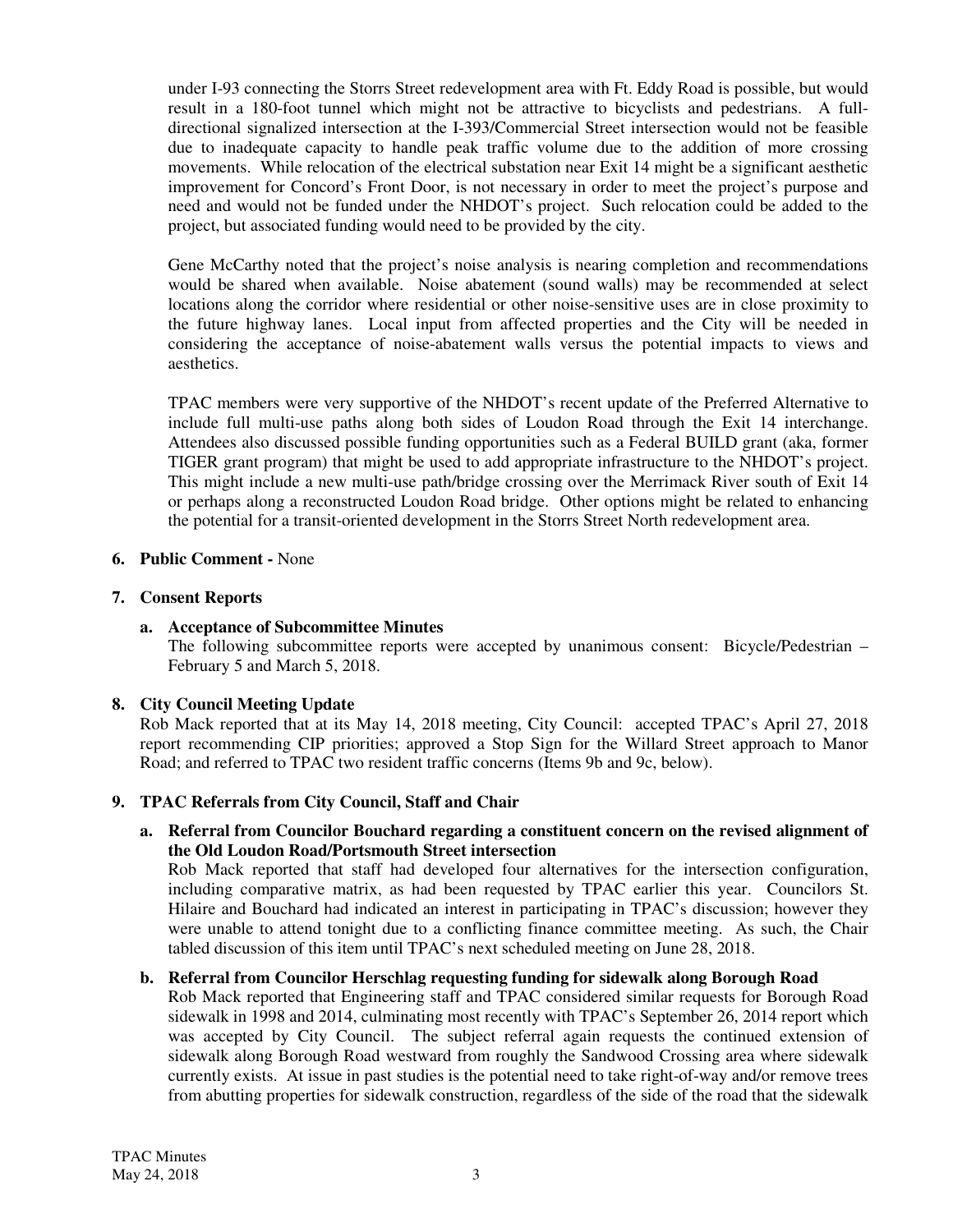under I-93 connecting the Storrs Street redevelopment area with Ft. Eddy Road is possible, but would result in a 180-foot tunnel which might not be attractive to bicyclists and pedestrians. A fulldirectional signalized intersection at the I-393/Commercial Street intersection would not be feasible due to inadequate capacity to handle peak traffic volume due to the addition of more crossing movements. While relocation of the electrical substation near Exit 14 might be a significant aesthetic improvement for Concord's Front Door, is not necessary in order to meet the project's purpose and need and would not be funded under the NHDOT's project. Such relocation could be added to the project, but associated funding would need to be provided by the city.

Gene McCarthy noted that the project's noise analysis is nearing completion and recommendations would be shared when available. Noise abatement (sound walls) may be recommended at select locations along the corridor where residential or other noise-sensitive uses are in close proximity to the future highway lanes. Local input from affected properties and the City will be needed in considering the acceptance of noise-abatement walls versus the potential impacts to views and aesthetics.

TPAC members were very supportive of the NHDOT's recent update of the Preferred Alternative to include full multi-use paths along both sides of Loudon Road through the Exit 14 interchange. Attendees also discussed possible funding opportunities such as a Federal BUILD grant (aka, former TIGER grant program) that might be used to add appropriate infrastructure to the NHDOT's project. This might include a new multi-use path/bridge crossing over the Merrimack River south of Exit 14 or perhaps along a reconstructed Loudon Road bridge. Other options might be related to enhancing the potential for a transit-oriented development in the Storrs Street North redevelopment area.

### **6. Public Comment -** None

### **7. Consent Reports**

#### **a. Acceptance of Subcommittee Minutes**

The following subcommittee reports were accepted by unanimous consent: Bicycle/Pedestrian – February 5 and March 5, 2018.

#### **8. City Council Meeting Update**

Rob Mack reported that at its May 14, 2018 meeting, City Council: accepted TPAC's April 27, 2018 report recommending CIP priorities; approved a Stop Sign for the Willard Street approach to Manor Road; and referred to TPAC two resident traffic concerns (Items 9b and 9c, below).

#### **9. TPAC Referrals from City Council, Staff and Chair**

**a. Referral from Councilor Bouchard regarding a constituent concern on the revised alignment of the Old Loudon Road/Portsmouth Street intersection** 

Rob Mack reported that staff had developed four alternatives for the intersection configuration, including comparative matrix, as had been requested by TPAC earlier this year. Councilors St. Hilaire and Bouchard had indicated an interest in participating in TPAC's discussion; however they were unable to attend tonight due to a conflicting finance committee meeting. As such, the Chair tabled discussion of this item until TPAC's next scheduled meeting on June 28, 2018.

#### **b. Referral from Councilor Herschlag requesting funding for sidewalk along Borough Road**

Rob Mack reported that Engineering staff and TPAC considered similar requests for Borough Road sidewalk in 1998 and 2014, culminating most recently with TPAC's September 26, 2014 report which was accepted by City Council. The subject referral again requests the continued extension of sidewalk along Borough Road westward from roughly the Sandwood Crossing area where sidewalk currently exists. At issue in past studies is the potential need to take right-of-way and/or remove trees from abutting properties for sidewalk construction, regardless of the side of the road that the sidewalk